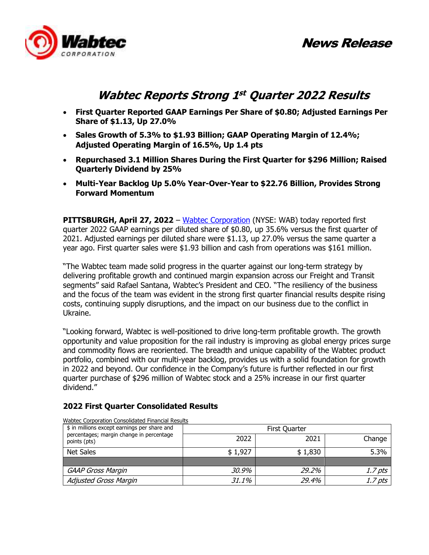News Release



# **Wabtec Reports Strong 1 st Quarter 2022 Results**

- **First Quarter Reported GAAP Earnings Per Share of \$0.80; Adjusted Earnings Per Share of \$1.13, Up 27.0%**
- **Sales Growth of 5.3% to \$1.93 Billion; GAAP Operating Margin of 12.4%; Adjusted Operating Margin of 16.5%, Up 1.4 pts**
- **Repurchased 3.1 Million Shares During the First Quarter for \$296 Million; Raised Quarterly Dividend by 25%**
- **Multi-Year Backlog Up 5.0% Year-Over-Year to \$22.76 Billion, Provides Strong Forward Momentum**

**PITTSBURGH, April 27, 2022** – Wabtec Corporation (NYSE: WAB) today reported first quarter 2022 GAAP earnings per diluted share of \$0.80, up 35.6% versus the first quarter of 2021. Adjusted earnings per diluted share were \$1.13, up 27.0% versus the same quarter a year ago. First quarter sales were \$1.93 billion and cash from operations was \$161 million.

"The Wabtec team made solid progress in the quarter against our long-term strategy by delivering profitable growth and continued margin expansion across our Freight and Transit segments" said Rafael Santana, Wabtec's President and CEO. "The resiliency of the business and the focus of the team was evident in the strong first quarter financial results despite rising costs, continuing supply disruptions, and the impact on our business due to the conflict in Ukraine.

"Looking forward, Wabtec is well-positioned to drive long-term profitable growth. The growth opportunity and value proposition for the rail industry is improving as global energy prices surge and commodity flows are reoriented. The breadth and unique capability of the Wabtec product portfolio, combined with our multi-year backlog, provides us with a solid foundation for growth in 2022 and beyond. Our confidence in the Company's future is further reflected in our first quarter purchase of \$296 million of Wabtec stock and a 25% increase in our first quarter dividend."

### **2022 First Quarter Consolidated Results**

| \$ in millions except earnings per share and             |         | First Quarter |                    |
|----------------------------------------------------------|---------|---------------|--------------------|
| percentages; margin change in percentage<br>points (pts) | 2022    | 2021          | Change             |
| Net Sales                                                | \$1,927 | \$1,830       | 5.3%               |
|                                                          |         |               |                    |
| <b>GAAP Gross Margin</b>                                 | 30.9%   | 29.2%         | 1.7 <sub>pts</sub> |
| <b>Adjusted Gross Margin</b>                             | 31.1%   | 29.4%         | <i>1.7 pts</i>     |

Wabtec Corporation Consolidated Financial Results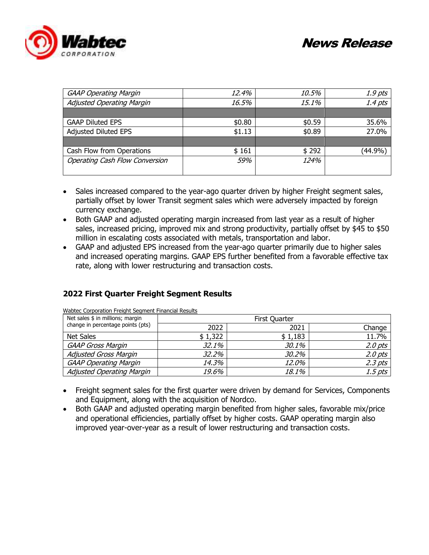



| <b>GAAP Operating Margin</b>          | 12.4%  | 10.5%  | 1.9 pts   |
|---------------------------------------|--------|--------|-----------|
| <b>Adjusted Operating Margin</b>      | 16.5%  | 15.1%  | $1.4$ pts |
|                                       |        |        |           |
| <b>GAAP Diluted EPS</b>               | \$0.80 | \$0.59 | 35.6%     |
| <b>Adjusted Diluted EPS</b>           | \$1.13 | \$0.89 | 27.0%     |
|                                       |        |        |           |
| Cash Flow from Operations             | \$161  | \$292  | (44.9%)   |
| <b>Operating Cash Flow Conversion</b> | 59%    | 124%   |           |
|                                       |        |        |           |

- Sales increased compared to the year-ago quarter driven by higher Freight segment sales, partially offset by lower Transit segment sales which were adversely impacted by foreign currency exchange.
- Both GAAP and adjusted operating margin increased from last year as a result of higher sales, increased pricing, improved mix and strong productivity, partially offset by \$45 to \$50 million in escalating costs associated with metals, transportation and labor.
- GAAP and adjusted EPS increased from the year-ago quarter primarily due to higher sales and increased operating margins. GAAP EPS further benefited from a favorable effective tax rate, along with lower restructuring and transaction costs.

### **2022 First Quarter Freight Segment Results**

| Net sales \$ in millions; margin  | First Quarter |              |             |  |  |  |  |  |
|-----------------------------------|---------------|--------------|-------------|--|--|--|--|--|
| change in percentage points (pts) | 2022          | 2021         | Change      |  |  |  |  |  |
| Net Sales                         | \$1,322       | \$1,183      | 11.7%       |  |  |  |  |  |
| <b>GAAP Gross Margin</b>          | 32.1%         | 30.1%        | $2.0$ $pts$ |  |  |  |  |  |
| <b>Adjusted Gross Margin</b>      | 32.2%         | <i>30.2%</i> | 2.0 pts     |  |  |  |  |  |
| <b>GAAP Operating Margin</b>      | 14.3%         | 12.0%        | $2.3$ pts   |  |  |  |  |  |
| Adjusted Operating Margin         | 19.6%         | 18.1%        | 1.5 pts     |  |  |  |  |  |

Wabtec Corporation Freight Segment Financial Results

- Freight segment sales for the first quarter were driven by demand for Services, Components and Equipment, along with the acquisition of Nordco.
- Both GAAP and adjusted operating margin benefited from higher sales, favorable mix/price and operational efficiencies, partially offset by higher costs. GAAP operating margin also improved year-over-year as a result of lower restructuring and transaction costs.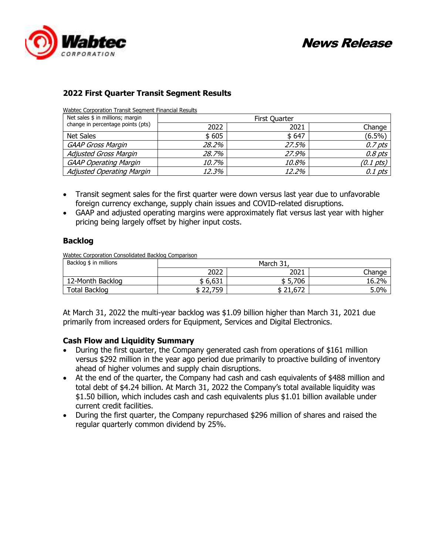

## **2022 First Quarter Transit Segment Results**

Wabtec Corporation Transit Segment Financial Results

| Net sales \$ in millions; margin  |       | <b>First Quarter</b> |             |
|-----------------------------------|-------|----------------------|-------------|
| change in percentage points (pts) | 2022  | 2021                 | Change      |
| Net Sales                         | \$605 | \$647                | $(6.5\%)$   |
| <b>GAAP Gross Margin</b>          | 28.2% | 27.5%                | $0.7$ pts   |
| <b>Adjusted Gross Margin</b>      | 28.7% | 27.9%                | $0.8$ $pts$ |
| <b>GAAP Operating Margin</b>      | 10.7% | 10.8%                | (0.1 pts)   |
| Adjusted Operating Margin         | 12.3% | 12.2%                | 0.1 pts     |

- Transit segment sales for the first quarter were down versus last year due to unfavorable foreign currency exchange, supply chain issues and COVID-related disruptions.
- GAAP and adjusted operating margins were approximately flat versus last year with higher pricing being largely offset by higher input costs.

### **Backlog**

Wabtec Corporation Consolidated Backlog Comparison

| Backlog \$ in millions |                           | March 31, |        |  |  |  |  |  |  |  |  |
|------------------------|---------------------------|-----------|--------|--|--|--|--|--|--|--|--|
|                        | 2022                      | 2021      | Change |  |  |  |  |  |  |  |  |
| 12-Month Backlog       | \$6,631                   | \$5,706   | 16.2%  |  |  |  |  |  |  |  |  |
| <b>Total Backlog</b>   | <sup>2</sup> 2,759<br>74. | \$21,672  | 5.0%   |  |  |  |  |  |  |  |  |

At March 31, 2022 the multi-year backlog was \$1.09 billion higher than March 31, 2021 due primarily from increased orders for Equipment, Services and Digital Electronics.

#### **Cash Flow and Liquidity Summary**

- During the first quarter, the Company generated cash from operations of \$161 million versus \$292 million in the year ago period due primarily to proactive building of inventory ahead of higher volumes and supply chain disruptions.
- At the end of the quarter, the Company had cash and cash equivalents of \$488 million and total debt of \$4.24 billion. At March 31, 2022 the Company's total available liquidity was \$1.50 billion, which includes cash and cash equivalents plus \$1.01 billion available under current credit facilities.
- During the first quarter, the Company repurchased \$296 million of shares and raised the regular quarterly common dividend by 25%.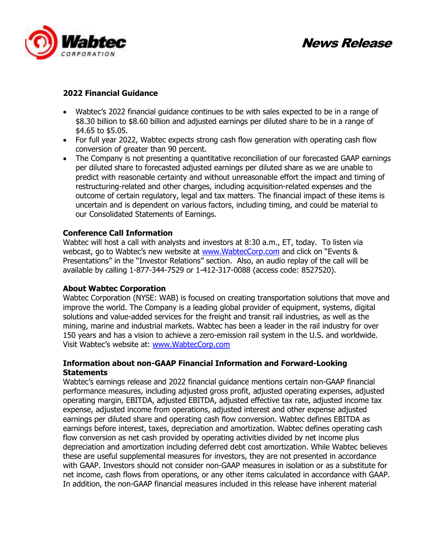

News Release

### **2022 Financial Guidance**

- Wabtec's 2022 financial guidance continues to be with sales expected to be in a range of \$8.30 billion to \$8.60 billion and adjusted earnings per diluted share to be in a range of \$4.65 to \$5.05.
- For full year 2022, Wabtec expects strong cash flow generation with operating cash flow conversion of greater than 90 percent.
- The Company is not presenting a quantitative reconciliation of our forecasted GAAP earnings per diluted share to forecasted adjusted earnings per diluted share as we are unable to predict with reasonable certainty and without unreasonable effort the impact and timing of restructuring-related and other charges, including acquisition-related expenses and the outcome of certain regulatory, legal and tax matters. The financial impact of these items is uncertain and is dependent on various factors, including timing, and could be material to our Consolidated Statements of Earnings.

### **Conference Call Information**

Wabtec will host a call with analysts and investors at 8:30 a.m., ET, today. To listen via webcast, go to Wabtec's new website at www.WabtecCorp.com and click on "Events & Presentations" in the "Investor Relations" section. Also, an audio replay of the call will be available by calling 1-877-344-7529 or 1-412-317-0088 (access code: 8527520).

#### **About Wabtec Corporation**

Wabtec Corporation (NYSE: WAB) is focused on creating transportation solutions that move and improve the world. The Company is a leading global provider of equipment, systems, digital solutions and value-added services for the freight and transit rail industries, as well as the mining, marine and industrial markets. Wabtec has been a leader in the rail industry for over 150 years and has a vision to achieve a zero-emission rail system in the U.S. and worldwide. Visit Wabtec's website at: www.WabtecCorp.com

### **Information about non-GAAP Financial Information and Forward-Looking Statements**

Wabtec's earnings release and 2022 financial guidance mentions certain non-GAAP financial performance measures, including adjusted gross profit, adjusted operating expenses, adjusted operating margin, EBITDA, adjusted EBITDA, adjusted effective tax rate, adjusted income tax expense, adjusted income from operations, adjusted interest and other expense adjusted earnings per diluted share and operating cash flow conversion. Wabtec defines EBITDA as earnings before interest, taxes, depreciation and amortization. Wabtec defines operating cash flow conversion as net cash provided by operating activities divided by net income plus depreciation and amortization including deferred debt cost amortization. While Wabtec believes these are useful supplemental measures for investors, they are not presented in accordance with GAAP. Investors should not consider non-GAAP measures in isolation or as a substitute for net income, cash flows from operations, or any other items calculated in accordance with GAAP. In addition, the non-GAAP financial measures included in this release have inherent material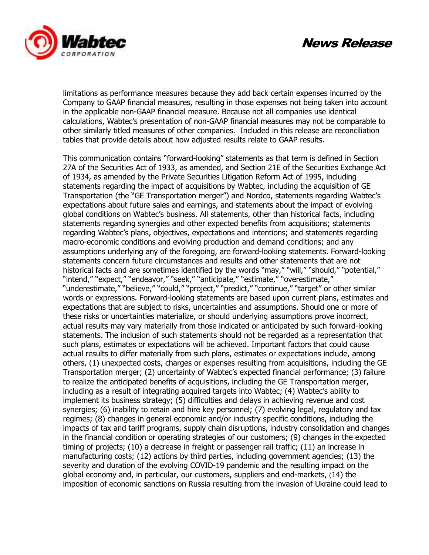



limitations as performance measures because they add back certain expenses incurred by the Company to GAAP financial measures, resulting in those expenses not being taken into account in the applicable non-GAAP financial measure. Because not all companies use identical calculations, Wabtec's presentation of non-GAAP financial measures may not be comparable to other similarly titled measures of other companies. Included in this release are reconciliation tables that provide details about how adjusted results relate to GAAP results.

This communication contains "forward-looking" statements as that term is defined in Section 27A of the Securities Act of 1933, as amended, and Section 21E of the Securities Exchange Act of 1934, as amended by the Private Securities Litigation Reform Act of 1995, including statements regarding the impact of acquisitions by Wabtec, including the acquisition of GE Transportation (the "GE Transportation merger") and Nordco, statements regarding Wabtec's expectations about future sales and earnings, and statements about the impact of evolving global conditions on Wabtec's business. All statements, other than historical facts, including statements regarding synergies and other expected benefits from acquisitions; statements regarding Wabtec's plans, objectives, expectations and intentions; and statements regarding macro-economic conditions and evolving production and demand conditions; and any assumptions underlying any of the foregoing, are forward-looking statements. Forward-looking statements concern future circumstances and results and other statements that are not historical facts and are sometimes identified by the words "may," "will," "should," "potential," "intend," "expect," "endeavor," "seek," "anticipate," "estimate," "overestimate," "underestimate," "believe," "could," "project," "predict," "continue," "target" or other similar words or expressions. Forward-looking statements are based upon current plans, estimates and expectations that are subject to risks, uncertainties and assumptions. Should one or more of these risks or uncertainties materialize, or should underlying assumptions prove incorrect, actual results may vary materially from those indicated or anticipated by such forward-looking statements. The inclusion of such statements should not be regarded as a representation that such plans, estimates or expectations will be achieved. Important factors that could cause actual results to differ materially from such plans, estimates or expectations include, among others, (1) unexpected costs, charges or expenses resulting from acquisitions, including the GE Transportation merger; (2) uncertainty of Wabtec's expected financial performance; (3) failure to realize the anticipated benefits of acquisitions, including the GE Transportation merger, including as a result of integrating acquired targets into Wabtec; (4) Wabtec's ability to implement its business strategy; (5) difficulties and delays in achieving revenue and cost synergies; (6) inability to retain and hire key personnel; (7) evolving legal, regulatory and tax regimes; (8) changes in general economic and/or industry specific conditions, including the impacts of tax and tariff programs, supply chain disruptions, industry consolidation and changes in the financial condition or operating strategies of our customers; (9) changes in the expected timing of projects; (10) a decrease in freight or passenger rail traffic; (11) an increase in manufacturing costs; (12) actions by third parties, including government agencies; (13) the severity and duration of the evolving COVID-19 pandemic and the resulting impact on the global economy and, in particular, our customers, suppliers and end-markets, (14) the imposition of economic sanctions on Russia resulting from the invasion of Ukraine could lead to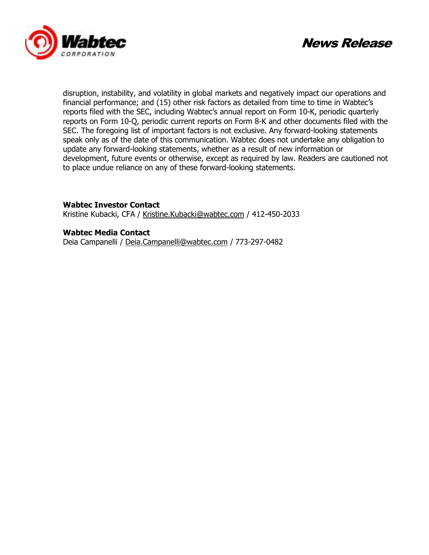



disruption, instability, and volatility in global markets and negatively impact our operations and financial performance; and (15) other risk factors as detailed from time to time in Wabtec's reports filed with the SEC, including Wabtec's annual report on Form 10-K, periodic quarterly reports on Form 10-Q, periodic current reports on Form 8-K and other documents filed with the SEC. The foregoing list of important factors is not exclusive. Any forward-looking statements speak only as of the date of this communication. Wabtec does not undertake any obligation to update any forward-looking statements, whether as a result of new information or development, future events or otherwise, except as required by law. Readers are cautioned not to place undue reliance on any of these forward-looking statements.

**Wabtec Investor Contact**  Kristine Kubacki, CFA / Kristine.Kubacki@wabtec.com / 412-450-2033

**Wabtec Media Contact**

Deia Campanelli / Deia.Campanelli@wabtec.com / 773-297-0482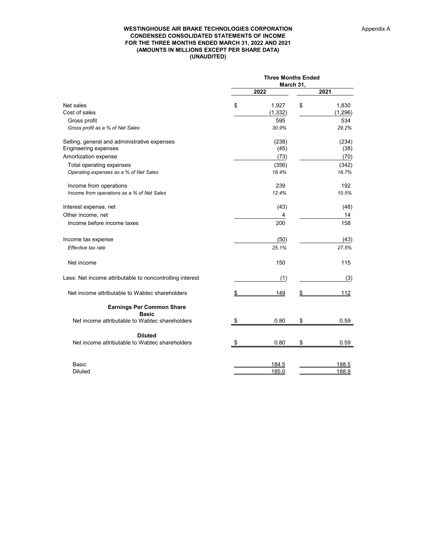#### **WESTINGHOUSE AIR BRAKE TECHNOLOGIES CORPORATION CONDENSED CONSOLIDATED STATEMENTS OF INCOME FOR THE THREE MONTHS ENDED MARCH 31, 2022 AND 2021 (AMOUNTS IN MILLIONS EXCEPT PER SHARE DATA) (UNAUDITED)**

|                                                                             | <b>Three Months Ended</b><br>March 31, |                   |    |                       |  |  |  |  |
|-----------------------------------------------------------------------------|----------------------------------------|-------------------|----|-----------------------|--|--|--|--|
|                                                                             |                                        | 2022              |    | 2021                  |  |  |  |  |
| Net sales<br>Cost of sales                                                  | \$                                     | 1,927<br>(1, 332) | \$ | 1,830<br>(1, 296)     |  |  |  |  |
| Gross profit<br>Gross profit as a % of Net Sales                            |                                        | 595<br>30.9%      |    | 534<br>29.2%          |  |  |  |  |
| Selling, general and administrative expenses<br><b>Engineering expenses</b> |                                        | (238)<br>(45)     |    | (234)<br>(38)         |  |  |  |  |
| Amortization expense                                                        |                                        | (73)              |    | (70)                  |  |  |  |  |
| Total operating expenses<br>Operating expenses as a % of Net Sales          |                                        | (356)<br>18.4%    |    | (342)<br>18.7%        |  |  |  |  |
| Income from operations<br>Income from operations as a % of Net Sales        |                                        | 239<br>12.4%      |    | 192<br>10.5%          |  |  |  |  |
| Interest expense, net<br>Other income, net<br>Income before income taxes    |                                        | (43)<br>4<br>200  |    | (48)<br>14<br>158     |  |  |  |  |
| Income tax expense<br>Effective tax rate                                    |                                        | (50)<br>25.1%     |    | (43)<br>27.5%         |  |  |  |  |
| Net income                                                                  |                                        | 150               |    | 115                   |  |  |  |  |
| Less: Net income attributable to noncontrolling interest                    |                                        | (1)               |    | (3)                   |  |  |  |  |
| Net income attributable to Wabtec shareholders                              | \$                                     | 149               |    | 112                   |  |  |  |  |
| <b>Earnings Per Common Share</b><br><b>Basic</b>                            |                                        |                   |    |                       |  |  |  |  |
| Net income attributable to Wabtec shareholders                              | S                                      | 0.80              | \$ | 0.59                  |  |  |  |  |
| <b>Diluted</b>                                                              |                                        |                   |    |                       |  |  |  |  |
| Net income attributable to Wabtec shareholders                              |                                        | 0.80              | \$ | 0.59                  |  |  |  |  |
| Basic<br><b>Diluted</b>                                                     |                                        | 184.5<br>185.0    |    | <u>188.5</u><br>188.9 |  |  |  |  |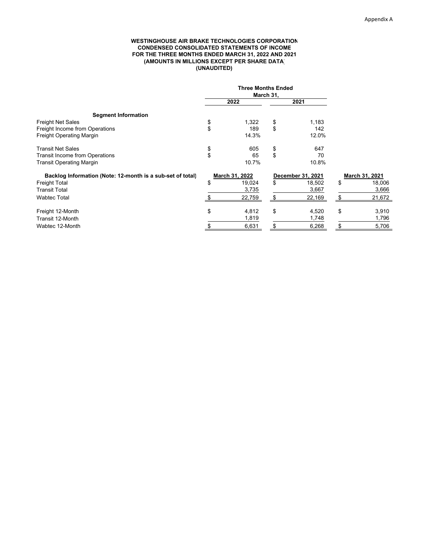#### **WESTINGHOUSE AIR BRAKE TECHNOLOGIES CORPORATION CONDENSED CONSOLIDATED STATEMENTS OF INCOME FOR THE THREE MONTHS ENDED MARCH 31, 2022 AND 2021 (AMOUNTS IN MILLIONS EXCEPT PER SHARE DATA) (UNAUDITED)**

|                                                            | <b>Three Months Ended</b><br>March 31, |                   |                |
|------------------------------------------------------------|----------------------------------------|-------------------|----------------|
|                                                            | 2022                                   | 2021              |                |
| <b>Segment Information</b>                                 |                                        |                   |                |
| <b>Freight Net Sales</b>                                   | \$<br>1,322                            | \$<br>1,183       |                |
| Freight Income from Operations                             | \$<br>189                              | \$<br>142         |                |
| Freight Operating Margin                                   | 14.3%                                  | 12.0%             |                |
| <b>Transit Net Sales</b>                                   | \$<br>605                              | \$<br>647         |                |
| <b>Transit Income from Operations</b>                      | \$<br>65                               | \$<br>70          |                |
| <b>Transit Operating Margin</b>                            | 10.7%                                  | 10.8%             |                |
| Backlog Information (Note: 12-month is a sub-set of total) | March 31, 2022                         | December 31, 2021 | March 31, 2021 |
| <b>Freight Total</b>                                       | \$<br>19,024                           | \$<br>18,502      | \$<br>18,006   |
| <b>Transit Total</b>                                       | 3,735                                  | 3,667             | 3,666          |
| <b>Wabtec Total</b>                                        | 22,759                                 | \$<br>22,169      | 21,672         |
| Freight 12-Month                                           | \$<br>4,812                            | \$<br>4,520       | \$<br>3,910    |
| Transit 12-Month                                           | 1,819                                  | 1,748             | 1,796          |
| Wabtec 12-Month                                            | 6,631                                  | 6,268             | 5,706          |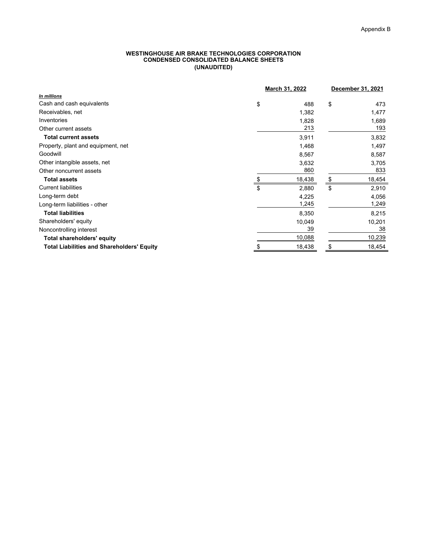#### **WESTINGHOUSE AIR BRAKE TECHNOLOGIES CORPORATION CONDENSED CONSOLIDATED BALANCE SHEETS (UNAUDITED)**

|                                                   | March 31, 2022 | December 31, 2021 |
|---------------------------------------------------|----------------|-------------------|
| In millions                                       |                |                   |
| Cash and cash equivalents<br>\$                   | 488            | \$<br>473         |
| Receivables, net                                  | 1,382          | 1,477             |
| Inventories                                       | 1,828          | 1,689             |
| Other current assets                              | 213            | 193               |
| <b>Total current assets</b>                       | 3,911          | 3,832             |
| Property, plant and equipment, net                | 1,468          | 1,497             |
| Goodwill                                          | 8,567          | 8,587             |
| Other intangible assets, net                      | 3,632          | 3,705             |
| Other noncurrent assets                           | 860            | 833               |
| <b>Total assets</b>                               | 18,438         | 18,454<br>\$      |
| <b>Current liabilities</b><br>\$                  | 2,880          | \$<br>2,910       |
| Long-term debt                                    | 4,225          | 4,056             |
| Long-term liabilities - other                     | 1,245          | 1,249             |
| <b>Total liabilities</b>                          | 8,350          | 8,215             |
| Shareholders' equity                              | 10,049         | 10,201            |
| Noncontrolling interest                           | 39             | 38                |
| <b>Total shareholders' equity</b>                 | 10,088         | 10,239            |
| <b>Total Liabilities and Shareholders' Equity</b> | 18,438         | 18,454<br>S       |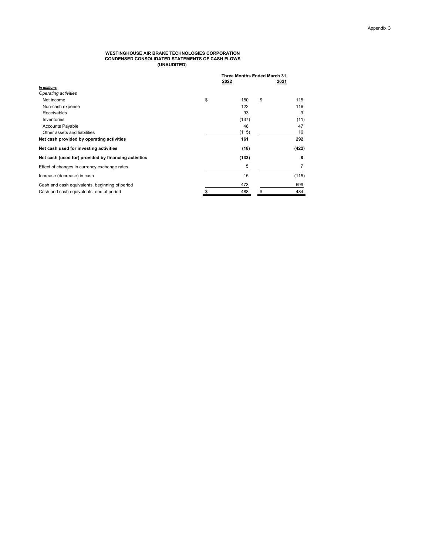#### **WESTINGHOUSE AIR BRAKE TECHNOLOGIES CORPORATION CONDENSED CONSOLIDATED STATEMENTS OF CASH FLOWS (UNAUDITED)**

|                                                      | 2022      | Three Months Ended March 31,<br>2021 |       |  |  |
|------------------------------------------------------|-----------|--------------------------------------|-------|--|--|
| In millions                                          |           |                                      |       |  |  |
| Operating activities                                 |           |                                      |       |  |  |
| Net income                                           | \$<br>150 | \$                                   | 115   |  |  |
| Non-cash expense                                     | 122       |                                      | 116   |  |  |
| Receivables                                          | 93        |                                      | 9     |  |  |
| Inventories                                          | (137)     |                                      | (11)  |  |  |
| <b>Accounts Payable</b>                              | 48        |                                      | 47    |  |  |
| Other assets and liabilities                         | (115)     |                                      | 16    |  |  |
| Net cash provided by operating activities            | 161       |                                      | 292   |  |  |
| Net cash used for investing activities               | (18)      |                                      | (422) |  |  |
| Net cash (used for) provided by financing activities | (133)     |                                      | 8     |  |  |
| Effect of changes in currency exchange rates         | 5         |                                      |       |  |  |
| Increase (decrease) in cash                          | 15        |                                      | (115) |  |  |
| Cash and cash equivalents, beginning of period       | 473       |                                      | 599   |  |  |
| Cash and cash equivalents, end of period             | \$<br>488 | \$                                   | 484   |  |  |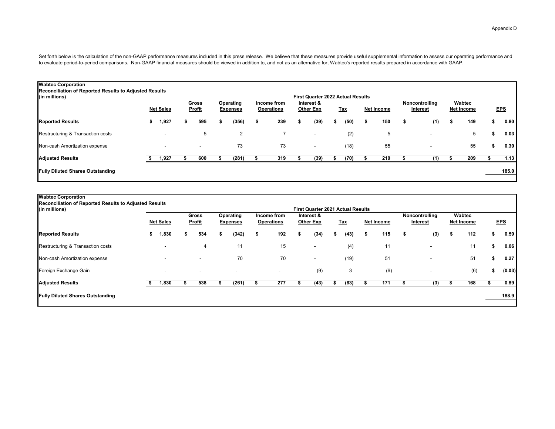Set forth below is the calculation of the non-GAAP performance measures included in this press release. We believe that these measures provide useful supplemental information to assess our operating performance and to evaluate period-to-period comparisons. Non-GAAP financial measures should be viewed in addition to, and not as an alternative for, Wabtec's reported results prepared in accordance with GAAP.

| Reconciliation of Reported Results to Adjusted Results<br>(in millions) |    |                          |   |                          |   |                              |                                  |    | <b>First Quarter 2022 Actual Results</b> |            |                   |                            |                             |            |
|-------------------------------------------------------------------------|----|--------------------------|---|--------------------------|---|------------------------------|----------------------------------|----|------------------------------------------|------------|-------------------|----------------------------|-----------------------------|------------|
|                                                                         |    | <b>Net Sales</b>         |   | <b>Gross</b><br>Profit   |   | Operating<br><b>Expenses</b> | Income from<br><b>Operations</b> |    | Interest &<br><b>Other Exp</b>           | <u>Tax</u> | <b>Net Income</b> | Noncontrolling<br>Interest | Wabtec<br><b>Net Income</b> | <b>EPS</b> |
| <b>Reported Results</b>                                                 | s. | 1,927                    | s | 595                      | S | (356)                        | \$<br>239                        | s. | (39)                                     | \$<br>(50) | \$<br>150         | \$<br>(1)                  | \$<br>149                   | \$<br>0.80 |
| Restructuring & Transaction costs                                       |    | $\overline{\phantom{a}}$ |   | 5                        |   | 2                            |                                  |    | $\overline{\phantom{0}}$                 | (2)        | 5                 | $\overline{\phantom{a}}$   | 5                           | 0.03       |
| Non-cash Amortization expense                                           |    | ۰                        |   | $\overline{\phantom{a}}$ |   | 73                           | 73                               |    | $\sim$                                   | (18)       | 55                | $\overline{\phantom{a}}$   | 55                          | 0.30       |
| <b>Adjusted Results</b>                                                 |    | 1,927                    |   | 600                      |   | (281)                        | 319                              |    | (39)                                     | (70)       | 210               | (1)                        | 209                         | 1.13       |
| <b>Fully Diluted Shares Outstanding</b>                                 |    |                          |   |                          |   |                              |                                  |    |                                          |            |                   |                            |                             | 185.0      |
|                                                                         |    |                          |   |                          |   |                              |                                  |    |                                          |            |                   |                            |                             |            |

| (in millions)                           |    | Reconciliation of Reported Results to Adjusted Results<br><b>Gross</b><br><b>Net Sales</b><br>Profit |   | Operating<br>Income from<br><b>Operations</b><br><b>Expenses</b> |       |    | <b>First Quarter 2021 Actual Results</b><br>Interest &<br><u>Tax</u><br><b>Other Exp</b> |   |                          | <b>Net Income</b> | Noncontrolling<br>Interest |    | Wabtec<br><b>Net Income</b> |    |                          | <b>EPS</b> |     |      |        |
|-----------------------------------------|----|------------------------------------------------------------------------------------------------------|---|------------------------------------------------------------------|-------|----|------------------------------------------------------------------------------------------|---|--------------------------|-------------------|----------------------------|----|-----------------------------|----|--------------------------|------------|-----|------|--------|
| <b>Reported Results</b>                 | S. | .,830                                                                                                | ъ | 534                                                              | (342) | s. | 192                                                                                      | 5 | (34)                     | S                 | (43)                       | S. | 115                         | \$ | (3)                      | \$         | 112 | эħ.  | 0.59   |
| Restructuring & Transaction costs       |    | ۰                                                                                                    |   | 4                                                                | 11    |    | 15                                                                                       |   | $\overline{\phantom{0}}$ |                   | (4)                        |    | 11                          |    | $\overline{\phantom{a}}$ |            | 11  |      | 0.06   |
| Non-cash Amortization expense           |    |                                                                                                      |   | $\overline{\phantom{a}}$                                         | 70    |    | 70                                                                                       |   | $\overline{\phantom{a}}$ |                   | (19)                       |    | 51                          |    | $\overline{\phantom{a}}$ |            | 51  |      | 0.27   |
| Foreign Exchange Gain                   |    |                                                                                                      |   |                                                                  |       |    |                                                                                          |   | (9)                      |                   | 3                          |    | (6)                         |    |                          |            | (6) | - 30 | (0.03) |
| <b>Adjusted Results</b>                 |    | 830,ا                                                                                                |   | 538                                                              | (261) |    | 277                                                                                      |   | (43)                     |                   | (63)                       |    | 171                         |    | (3)                      |            | 168 |      | 0.89   |
| <b>Fully Diluted Shares Outstanding</b> |    |                                                                                                      |   |                                                                  |       |    |                                                                                          |   |                          |                   |                            |    |                             |    |                          |            |     |      | 188.9  |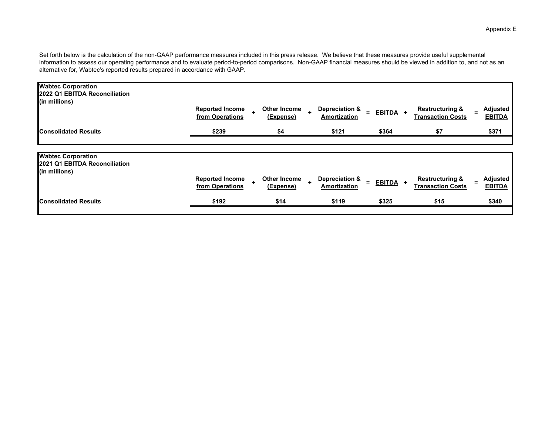Set forth below is the calculation of the non-GAAP performance measures included in this press release. We believe that these measures provide useful supplemental information to assess our operating performance and to evaluate period-to-period comparisons. Non-GAAP financial measures should be viewed in addition to, and not as an alternative for, Wabtec's reported results prepared in accordance with GAAP.

| from Operations                           | $\ddot{\phantom{1}}$<br>(Expense) | <b>Amortization</b>            | EBITDA +                | <b>Transaction Costs</b>                               | Adjusted<br><b>EBITDA</b>        |
|-------------------------------------------|-----------------------------------|--------------------------------|-------------------------|--------------------------------------------------------|----------------------------------|
| \$239                                     | \$4                               | \$121                          | \$364                   | \$7                                                    | \$371                            |
|                                           |                                   |                                |                         |                                                        |                                  |
|                                           |                                   |                                |                         |                                                        |                                  |
|                                           |                                   |                                |                         |                                                        |                                  |
| <b>Reported Income</b><br>from Operations | Other Income<br>(Expense)         | Depreciation &<br>Amortization | EBITDA +                | <b>Restructuring &amp;</b><br><b>Transaction Costs</b> | <b>Adjusted</b><br><b>EBITDA</b> |
| \$192                                     | \$14                              |                                | \$325                   | \$15                                                   | \$340                            |
|                                           | <b>Reported Income</b>            | Other Income                   | Depreciation &<br>\$119 |                                                        | <b>Restructuring &amp;</b>       |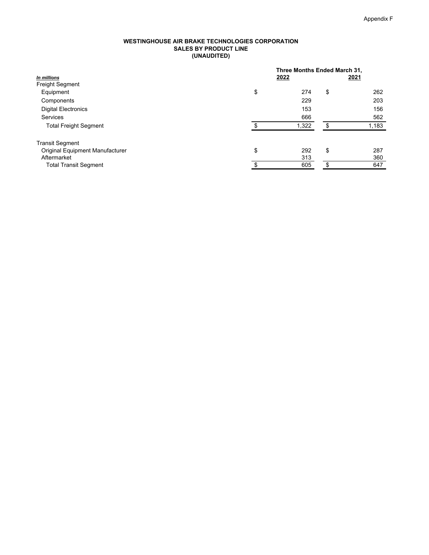#### **WESTINGHOUSE AIR BRAKE TECHNOLOGIES CORPORATION SALES BY PRODUCT LINE (UNAUDITED)**

|                                 |    | Three Months Ended March 31, |    |       |  |  |  |
|---------------------------------|----|------------------------------|----|-------|--|--|--|
| In millions                     |    | 2022                         |    |       |  |  |  |
| <b>Freight Segment</b>          |    |                              |    |       |  |  |  |
| Equipment                       | \$ | 274                          | \$ | 262   |  |  |  |
| Components                      |    | 229                          |    | 203   |  |  |  |
| <b>Digital Electronics</b>      |    | 153                          |    | 156   |  |  |  |
| <b>Services</b>                 |    | 666                          |    | 562   |  |  |  |
| <b>Total Freight Segment</b>    | Φ  | 1,322                        | \$ | 1,183 |  |  |  |
| <b>Transit Segment</b>          |    |                              |    |       |  |  |  |
| Original Equipment Manufacturer | \$ | 292                          | \$ | 287   |  |  |  |
| Aftermarket                     |    | 313                          |    | 360   |  |  |  |
| <b>Total Transit Segment</b>    | \$ | 605                          | \$ | 647   |  |  |  |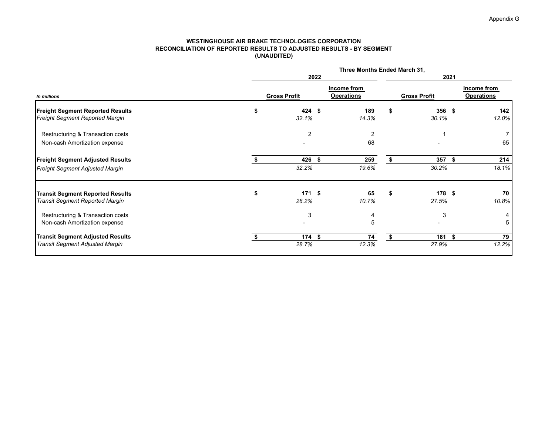#### **WESTINGHOUSE AIR BRAKE TECHNOLOGIES CORPORATION RECONCILIATION OF REPORTED RESULTS TO ADJUSTED RESULTS - BY SEGMENT(UNAUDITED)**

|                                                                                   | Three Months Ended March 31, |                                  |    |                           |      |                                  |  |  |  |
|-----------------------------------------------------------------------------------|------------------------------|----------------------------------|----|---------------------------|------|----------------------------------|--|--|--|
|                                                                                   | 2022                         |                                  |    |                           | 2021 |                                  |  |  |  |
| In millions                                                                       | <b>Gross Profit</b>          | Income from<br><b>Operations</b> |    | <b>Gross Profit</b>       |      | Income from<br><b>Operations</b> |  |  |  |
| <b>Freight Segment Reported Results</b><br><b>Freight Segment Reported Margin</b> | \$<br>424 \$<br>32.1%        | 189<br>14.3%                     | \$ | $356$ \$<br>30.1%         |      | 142<br>12.0%                     |  |  |  |
| Restructuring & Transaction costs<br>Non-cash Amortization expense                | $\overline{2}$               | 2<br>68                          |    |                           |      | 65                               |  |  |  |
| <b>Freight Segment Adjusted Results</b><br>Freight Segment Adjusted Margin        | 426 \$<br>32.2%              | 259<br>19.6%                     | \$ | $357$ \$<br>30.2%         |      | 214<br>18.1%                     |  |  |  |
| <b>Transit Segment Reported Results</b><br><b>Transit Segment Reported Margin</b> | 171S<br>28.2%                | 65<br>10.7%                      | \$ | 178 <sub>5</sub><br>27.5% |      | 70<br>10.8%                      |  |  |  |
| Restructuring & Transaction costs<br>Non-cash Amortization expense                | 3                            | 4<br>5                           |    | 3                         |      | 5                                |  |  |  |
| <b>Transit Segment Adjusted Results</b><br><b>Transit Segment Adjusted Margin</b> | 174S<br>28.7%                | 74<br>12.3%                      | S. | $181$ \$<br>27.9%         |      | 79<br>12.2%                      |  |  |  |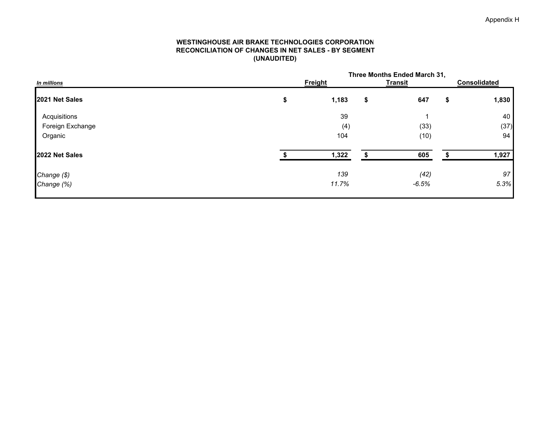#### **WESTINGHOUSE AIR BRAKE TECHNOLOGIES CORPORATION RECONCILIATION OF CHANGES IN NET SALES - BY SEGMENT(UNAUDITED)**

| Three Months Ended March 31, |       |                |         |                     |       |  |
|------------------------------|-------|----------------|---------|---------------------|-------|--|
|                              |       |                |         | <b>Consolidated</b> |       |  |
| \$                           | 1,183 | \$             | 647     | \$                  | 1,830 |  |
|                              | 39    |                |         |                     | 40    |  |
|                              | (4)   |                | (33)    |                     | (37)  |  |
|                              | 104   |                | (10)    |                     | 94    |  |
|                              | 1,322 |                | 605     |                     | 1,927 |  |
|                              | 139   |                | (42)    |                     | 97    |  |
|                              | 11.7% |                | $-6.5%$ |                     | 5.3%  |  |
|                              |       | <b>Freight</b> |         | <b>Transit</b>      |       |  |